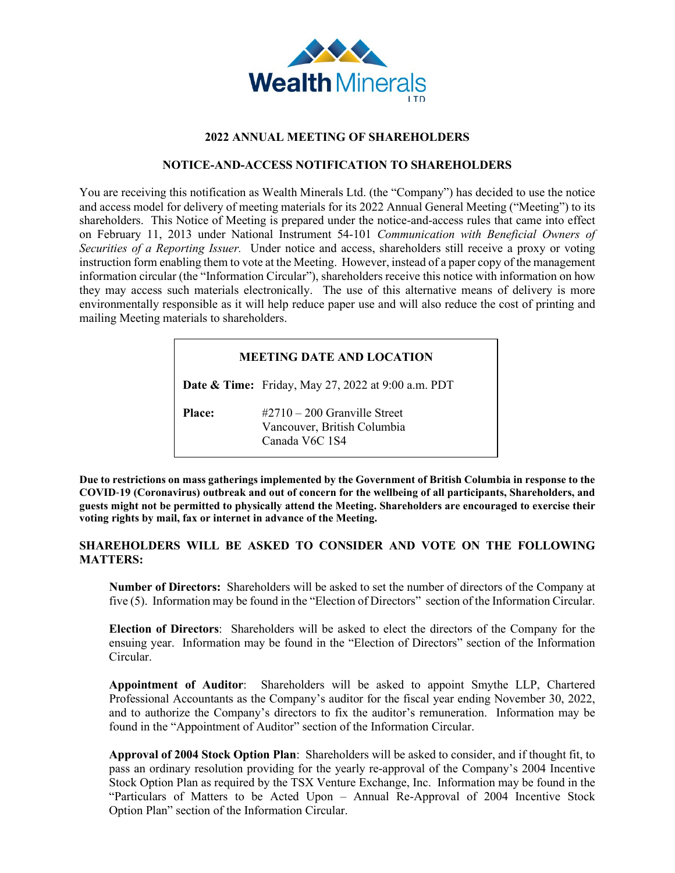

### **2022 ANNUAL MEETING OF SHAREHOLDERS**

## **NOTICE-AND-ACCESS NOTIFICATION TO SHAREHOLDERS**

You are receiving this notification as Wealth Minerals Ltd. (the "Company") has decided to use the notice and access model for delivery of meeting materials for its 2022 Annual General Meeting ("Meeting") to its shareholders. This Notice of Meeting is prepared under the notice-and-access rules that came into effect on February 11, 2013 under National Instrument 54-101 *Communication with Beneficial Owners of Securities of a Reporting Issuer.* Under notice and access, shareholders still receive a proxy or voting instruction form enabling them to vote at the Meeting. However, instead of a paper copy of the management information circular (the "Information Circular"), shareholders receive this notice with information on how they may access such materials electronically. The use of this alternative means of delivery is more environmentally responsible as it will help reduce paper use and will also reduce the cost of printing and mailing Meeting materials to shareholders.

# **MEETING DATE AND LOCATION**

**Date & Time:** Friday, May 27, 2022 at 9:00 a.m. PDT

Place: #2710 – 200 Granville Street Vancouver, British Columbia Canada V6C 1S4

**Due to restrictions on mass gatherings implemented by the Government of British Columbia in response to the COVID**‐**19 (Coronavirus) outbreak and out of concern for the wellbeing of all participants, Shareholders, and guests might not be permitted to physically attend the Meeting. Shareholders are encouraged to exercise their voting rights by mail, fax or internet in advance of the Meeting.**

# **SHAREHOLDERS WILL BE ASKED TO CONSIDER AND VOTE ON THE FOLLOWING MATTERS:**

**Number of Directors:** Shareholders will be asked to set the number of directors of the Company at five (5). Information may be found in the "Election of Directors" section of the Information Circular.

**Election of Directors**: Shareholders will be asked to elect the directors of the Company for the ensuing year. Information may be found in the "Election of Directors" section of the Information Circular.

**Appointment of Auditor**: Shareholders will be asked to appoint Smythe LLP, Chartered Professional Accountants as the Company's auditor for the fiscal year ending November 30, 2022, and to authorize the Company's directors to fix the auditor's remuneration. Information may be found in the "Appointment of Auditor" section of the Information Circular.

**Approval of 2004 Stock Option Plan**: Shareholders will be asked to consider, and if thought fit, to pass an ordinary resolution providing for the yearly re-approval of the Company's 2004 Incentive Stock Option Plan as required by the TSX Venture Exchange, Inc. Information may be found in the "Particulars of Matters to be Acted Upon – Annual Re-Approval of 2004 Incentive Stock Option Plan" section of the Information Circular.